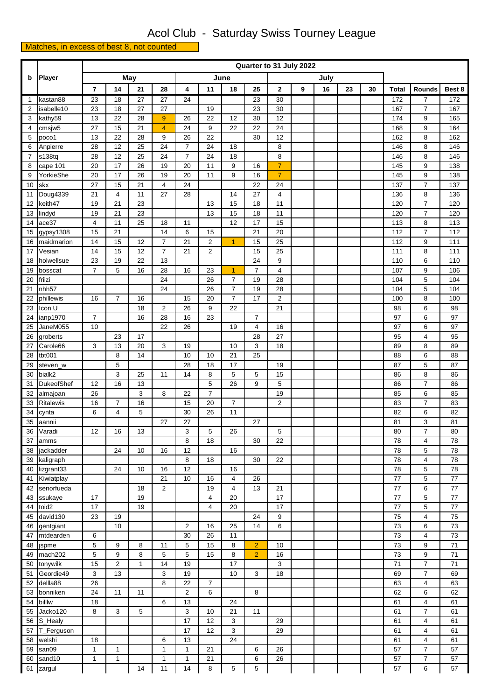## Acol Club - Saturday Swiss Tourney League

## Matches, in excess of best 8, not counted

|                | Player                 |                | Quarter to 31 July 2022 |          |                |                |                |                |                |                                  |   |      |    |    |                 |                              |            |
|----------------|------------------------|----------------|-------------------------|----------|----------------|----------------|----------------|----------------|----------------|----------------------------------|---|------|----|----|-----------------|------------------------------|------------|
| b              |                        |                |                         | May      |                | June           |                |                |                |                                  |   | July |    |    |                 |                              |            |
|                |                        | 7              | 14                      | 21       | 28             | 4              | 11             | 18             | 25             | $\mathbf{2}$                     | 9 | 16   | 23 | 30 | <b>Total</b>    | <b>Rounds</b>                | Best 8     |
| $\mathbf{1}$   | kastan88               | 23             | 18                      | 27       | 27             | 24             |                |                | 23             | 30                               |   |      |    |    | 172             | 7                            | 172        |
| 2              | isabelle10             | 23             | 18                      | 27       | 27             |                | 19             |                | 23             | 30                               |   |      |    |    | 167             | $\overline{7}$               | 167        |
| 3              | kathy59                | 13             | 22                      | 28       | 9              | 26             | 22             | 12             | 30             | 12                               |   |      |    |    | 174             | 9                            | 165        |
| $\overline{4}$ | cmsjw5                 | 27             | 15                      | 21       | $\overline{4}$ | 24             | 9              | 22             | 22             | 24                               |   |      |    |    | 168             | 9                            | 164        |
| 5              | poco1                  | 13             | 22                      | 28       | 9              | 26             | 22             |                | 30             | 12                               |   |      |    |    | 162             | 8                            | 162        |
| 6              | Anpierre               | 28             | 12                      | 25       | 24             | $\overline{7}$ | 24             | 18             |                | 8                                |   |      |    |    | 146             | 8                            | 146        |
| $\overline{7}$ | s138tq                 | 28             | 12                      | 25       | 24             | $\overline{7}$ | 24             | 18             |                | 8                                |   |      |    |    | 146             | 8                            | 146        |
| 8<br>9         | cape 101<br>YorkieShe  | 20<br>20       | 17<br>17                | 26<br>26 | 19<br>19       | 20<br>20       | 11<br>11       | 9<br>9         | 16<br>16       | $\overline{7}$<br>$\overline{7}$ |   |      |    |    | 145<br>145      | 9<br>9                       | 138<br>138 |
| 10             | skx                    | 27             | 15                      | 21       | $\overline{4}$ | 24             |                |                | 22             | 24                               |   |      |    |    | 137             | $\overline{7}$               | 137        |
| 11             | Doug4339               | 21             | 4                       | 11       | 27             | 28             |                | 14             | 27             | 4                                |   |      |    |    | 136             | 8                            | 136        |
| 12             | keith47                | 19             | 21                      | 23       |                |                | 13             | 15             | 18             | 11                               |   |      |    |    | 120             | $\overline{7}$               | 120        |
| 13             | lindyd                 | 19             | 21                      | 23       |                |                | 13             | 15             | 18             | 11                               |   |      |    |    | 120             | $\overline{7}$               | 120        |
| 14             | ace37                  | $\overline{4}$ | 11                      | 25       | 18             | 11             |                | 12             | 17             | 15                               |   |      |    |    | 113             | 8                            | 113        |
| 15             | gypsy1308              | 15             | 21                      |          | 14             | 6              | 15             |                | 21             | 20                               |   |      |    |    | 112             | $\overline{7}$               | 112        |
| 16             | maidmarion             | 14             | 15                      | 12       | 7              | 21             | $\overline{2}$ | $\mathbf{1}$   | 15             | 25                               |   |      |    |    | 112             | 9                            | 111        |
| 17             | Vesian                 | 14             | 15                      | 12       | $\overline{7}$ | 21             | $\overline{2}$ |                | 15             | 25                               |   |      |    |    | 111             | 8                            | 111        |
| 18             | holwellsue             | 23             | 19                      | 22       | 13             |                |                |                | 24             | 9                                |   |      |    |    | 110             | 6                            | 110        |
| 19             | bosscat                | $\overline{7}$ | 5                       | 16       | 28             | 16             | 23             | $\mathbf{1}$   | $\overline{7}$ | $\overline{4}$                   |   |      |    |    | 107             | 9                            | 106        |
| 20             | friizi                 |                |                         |          | 24             |                | 26             | $\overline{7}$ | 19             | 28                               |   |      |    |    | 104             | 5                            | 104        |
| 21             | nhh57                  |                |                         |          | 24             |                | 26             | $\overline{7}$ | 19             | 28                               |   |      |    |    | 104             | 5                            | 104        |
| 22             | phillewis              | 16             | $\overline{7}$          | 16       |                | 15             | 20             | $\overline{7}$ | 17             | $\overline{2}$                   |   |      |    |    | 100             | 8                            | 100        |
| 23             | Icon U<br>ianp1970     | $\overline{7}$ |                         | 18<br>16 | 2<br>28        | 26<br>16       | 9<br>23        | 22             | $\overline{7}$ | 21                               |   |      |    |    | 98<br>97        | 6<br>6                       | 98<br>97   |
| 24<br>25       | JaneM055               | 10             |                         |          | 22             | 26             |                | 19             | $\overline{4}$ | 16                               |   |      |    |    | 97              | 6                            | 97         |
| 26             | groberts               |                | 23                      | 17       |                |                |                |                | 28             | 27                               |   |      |    |    | 95              | 4                            | 95         |
| 27             | Carole66               | 3              | 13                      | 20       | 3              | 19             |                | 10             | 3              | 18                               |   |      |    |    | 89              | 8                            | 89         |
| 28             | tbt001                 |                | 8                       | 14       |                | 10             | 10             | 21             | 25             |                                  |   |      |    |    | 88              | 6                            | 88         |
| 29             | steven_w               |                | 5                       |          |                | 28             | 18             | 17             |                | 19                               |   |      |    |    | 87              | 5                            | 87         |
| 30             | bialk2                 |                | 3                       | 25       | 11             | 14             | 8              | 5              | 5              | 15                               |   |      |    |    | 86              | 8                            | 86         |
| 31             | <b>DukeofShef</b>      | 12             | 16                      | 13       |                |                | 5              | 26             | 9              | 5                                |   |      |    |    | 86              | $\overline{7}$               | 86         |
| 32             | almajoan               | 26             |                         | 3        | 8              | 22             | $\overline{7}$ |                |                | 19                               |   |      |    |    | 85              | 6                            | 85         |
| 33             | Ritalewis              | 16             | $\overline{7}$          | 16       |                | 15             | 20             | $\overline{7}$ |                | $\overline{\mathbf{c}}$          |   |      |    |    | 83              | $\overline{7}$               | 83         |
| 34             | cynta                  | 6              | $\overline{4}$          | 5        |                | 30             | 26             | 11             |                |                                  |   |      |    |    | 82              | 6                            | 82         |
| 35             | aannii                 |                |                         |          | 27             | 27             |                |                | 27             |                                  |   |      |    |    | 81              | 3                            | 81         |
| 36             | Varadi                 | 12             | 16                      | 13       |                | 3              | 5              | 26             |                | 5                                |   |      |    |    | 80              | $\overline{7}$               | 80         |
| 37             | amms                   |                |                         |          |                | 8              | 18             |                | 30             | 22                               |   |      |    |    | 78              | 4                            | 78         |
| 38<br>39       | jackadder<br>kaligraph |                | 24                      | 10       | 16             | 12<br>8        | 18             | 16             | 30             | 22                               |   |      |    |    | 78<br>78        | 5<br>$\overline{\mathbf{4}}$ | 78<br>78   |
| 40             | lizgrant33             |                | 24                      | 10       | 16             | 12             |                | 16             |                |                                  |   |      |    |    | 78              | 5                            | 78         |
| 41             | Kiwiatplay             |                |                         |          | 21             | 10             | 16             | 4              | 26             |                                  |   |      |    |    | 77              | 5                            | $77\,$     |
| 42             | senorfueda             |                |                         | 18       | 2              |                | 19             | 4              | 13             | 21                               |   |      |    |    | 77              | 6                            | $77\,$     |
| 43             | ssukaye                | 17             |                         | 19       |                |                | 4              | 20             |                | 17                               |   |      |    |    | 77              | 5                            | $77\,$     |
| 44             | toid2                  | 17             |                         | 19       |                |                | $\overline{4}$ | 20             |                | 17                               |   |      |    |    | 77              | 5                            | 77         |
| 45             | david130               | 23             | 19                      |          |                |                |                |                | 24             | 9                                |   |      |    |    | 75              | $\overline{4}$               | 75         |
| 46             | gentgiant              |                | 10                      |          |                | 2              | 16             | 25             | 14             | 6                                |   |      |    |    | 73              | 6                            | 73         |
| 47             | mtdearden              | 6              |                         |          |                | 30             | 26             | 11             |                |                                  |   |      |    |    | 73              | $\overline{4}$               | 73         |
| 48             | jspme                  | $\,$ 5 $\,$    | 9                       | 8        | 11             | 5              | 15             | 8              | $\overline{2}$ | 10                               |   |      |    |    | 73              | 9                            | 71         |
| 49             | mach202                | 5              | 9                       | 8        | 5              | 5              | 15             | 8              | $\overline{2}$ | 16                               |   |      |    |    | 73              | 9                            | 71         |
| 50             | tonywilk               | 15             | $\overline{2}$          | 1        | 14             | 19             |                | 17             |                | 3                                |   |      |    |    | 71              | $\overline{7}$               | 71         |
| 51             | Geordie49              | 3              | 13                      |          | 3              | 19             |                | 10             | 3              | 18                               |   |      |    |    | 69              | $\overline{7}$               | 69         |
| 52             | dellla88               | 26             |                         |          | 8              | 22             | 7              |                |                |                                  |   |      |    |    | 63              | 4                            | 63         |
| 53             | bonniken               | 24             | 11                      | 11       |                | $\overline{c}$ | 6              |                | 8              |                                  |   |      |    |    | 62              | 6                            | 62         |
| 54             | billlw                 | 18             |                         |          | 6              | 13             |                | 24             |                |                                  |   |      |    |    | 61              | $\overline{4}$               | 61         |
| 55             | Jacko120<br>56 S_Healy | 8              | 3                       | 5        |                | 3<br>17        | 10<br>12       | 21<br>3        | 11             | 29                               |   |      |    |    | 61<br>61        | $\overline{7}$<br>4          | 61<br>61   |
|                | 57 T_Ferguson          |                |                         |          |                | 17             | 12             | 3              |                | 29                               |   |      |    |    | 61              | $\overline{4}$               | 61         |
| 58             | welshi                 | 18             |                         |          | 6              | 13             |                | 24             |                |                                  |   |      |    |    | 61              | $\overline{\mathbf{4}}$      | 61         |
| 59             | san09                  | $\mathbf{1}$   | 1                       |          | $\mathbf{1}$   | $\mathbf{1}$   | 21             |                | 6              | 26                               |   |      |    |    | 57              | $\overline{7}$               | 57         |
| 60             | sand10                 | $\mathbf{1}$   | $\mathbf{1}$            |          | 1              | 1              | 21             |                | 6              | 26                               |   |      |    |    | 57              | $\overline{7}$               | 57         |
|                | 61 zargul              |                |                         | 14       | 11             | 14             | 8              | 5              | 5              |                                  |   |      |    |    | $\overline{57}$ | 6                            | 57         |